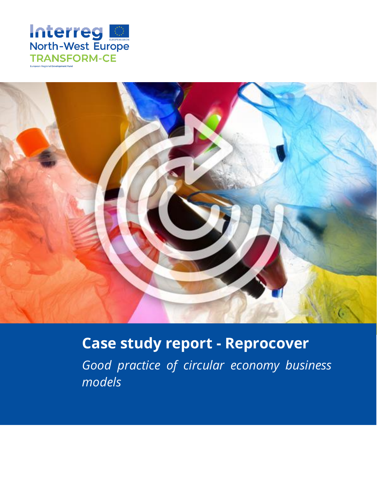



# **Case study report - Reprocover**

*Good practice of circular economy business models*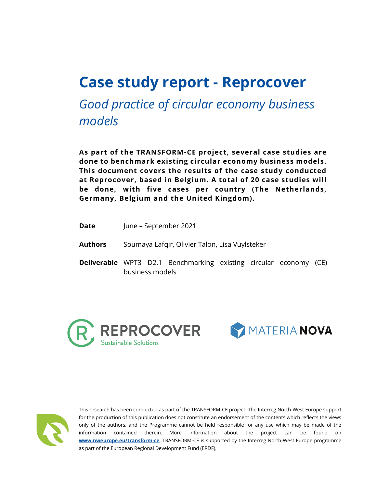# **Case study report - Reprocover**

*Good practice of circular economy business models*

**As part of the TRANSFORM-CE project, several case studies are done to benchmark existing circular economy business models. This document covers the results of the case study conducted at Reprocover, based in Belgium. A total of 20 case studies will be done, with five cases per country (The Netherlands, Germany, Belgium and the United Kingdom).**

- **Date** June September 2021
- **Authors** Soumaya Lafqir, Olivier Talon, Lisa Vuylsteker
- **Deliverable** WPT3 D2.1 Benchmarking existing circular economy (CE) business models







This research has been conducted as part of the TRANSFORM-CE project. The Interreg North-West Europe support for the production of this publication does not constitute an endorsement of the contents which reflects the views only of the authors, and the Programme cannot be held responsible for any use which may be made of the information contained therein. More information about the project can be found on **[www.nweurope.eu/transform-ce](https://hogeschoolutrecht-my.sharepoint.com/personal/malou_vandervegt_hu_nl/Documents/Documenten/www.nweurope.eu/transform-ce)**. TRANSFORM-CE is supported by the Interreg North-West Europe programme as part of the European Regional Development Fund (ERDF).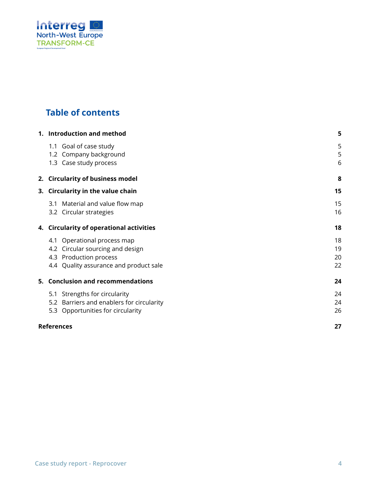

# **Table of contents**

|  | 1. Introduction and method                                                                                                          | 5                    |
|--|-------------------------------------------------------------------------------------------------------------------------------------|----------------------|
|  | 1.1 Goal of case study<br>1.2 Company background<br>1.3 Case study process                                                          | 5<br>5<br>6          |
|  | 2. Circularity of business model                                                                                                    | 8                    |
|  | 3. Circularity in the value chain                                                                                                   |                      |
|  | Material and value flow map<br>3.1<br>3.2 Circular strategies                                                                       | 15<br>16             |
|  | 4. Circularity of operational activities                                                                                            |                      |
|  | 4.1 Operational process map<br>4.2 Circular sourcing and design<br>4.3 Production process<br>4.4 Quality assurance and product sale | 18<br>19<br>20<br>22 |
|  | 5. Conclusion and recommendations                                                                                                   | 24                   |
|  | 5.1 Strengths for circularity<br>5.2 Barriers and enablers for circularity<br>5.3 Opportunities for circularity                     | 24<br>24<br>26       |
|  | <b>References</b>                                                                                                                   | 27                   |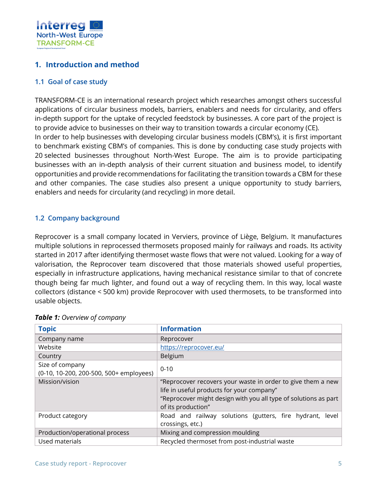

## <span id="page-4-0"></span>**1. Introduction and method**

#### <span id="page-4-1"></span>**1.1 Goal of case study**

TRANSFORM-CE is an international research project which researches amongst others successful applications of circular business models, barriers, enablers and needs for circularity, and offers in-depth support for the uptake of recycled feedstock by businesses. A core part of the project is to provide advice to businesses on their way to transition towards a circular economy (CE). In order to help businesses with developing circular business models (CBM's), it is first important to benchmark existing CBM's of companies. This is done by conducting case study projects with 20 selected businesses throughout North-West Europe. The aim is to provide participating businesses with an in-depth analysis of their current situation and business model, to identify opportunities and provide recommendations for facilitating the transition towards a CBM for these and other companies. The case studies also present a unique opportunity to study barriers, enablers and needs for circularity (and recycling) in more detail.

#### <span id="page-4-2"></span>**1.2 Company background**

Reprocover is a small company located in Verviers, province of Liège, Belgium. It manufactures multiple solutions in reprocessed thermosets proposed mainly for railways and roads. Its activity started in 2017 after identifying thermoset waste flows that were not valued. Looking for a way of valorisation, the Reprocover team discovered that those materials showed useful properties, especially in infrastructure applications, having mechanical resistance similar to that of concrete though being far much lighter, and found out a way of recycling them. In this way, local waste collectors (distance < 500 km) provide Reprocover with used thermosets, to be transformed into usable objects.

| <b>Topic</b>                                                    | <b>Information</b>                                                                                                                                                                                |
|-----------------------------------------------------------------|---------------------------------------------------------------------------------------------------------------------------------------------------------------------------------------------------|
| Company name                                                    | Reprocover                                                                                                                                                                                        |
| Website                                                         | https://reprocover.eu/                                                                                                                                                                            |
| Country                                                         | Belgium                                                                                                                                                                                           |
| Size of company<br>(0-10, 10-200, 200-500, 500+ employees)      | $0 - 10$                                                                                                                                                                                          |
| Mission/vision                                                  | "Reprocover recovers your waste in order to give them a new<br>life in useful products for your company"<br>"Reprocover might design with you all type of solutions as part<br>of its production" |
| Product category                                                | Road and railway solutions (gutters, fire hydrant,<br>level<br>crossings, etc.)                                                                                                                   |
| Production/operational process                                  | Mixing and compression moulding                                                                                                                                                                   |
| Recycled thermoset from post-industrial waste<br>Used materials |                                                                                                                                                                                                   |

#### *Table 1: Overview of company*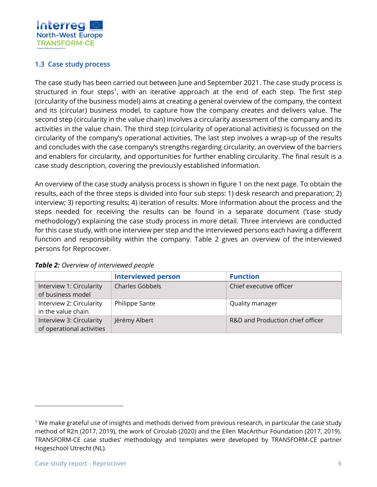

## <span id="page-5-0"></span>**1.3 Case study process**

The case study has been carried out between June and September 2021. The case study process is structured in four steps<sup>1</sup>, with an iterative approach at the end of each step. The first step (circularity of the business model) aims at creating a general overview of the company, the context and its (circular) business model, to capture how the company creates and delivers value. The second step (circularity in the value chain) involves a circularity assessment of the company and its activities in the value chain. The third step (circularity of operational activities) is focussed on the circularity of the company's operational activities. The last step involves a wrap-up of the results and concludes with the case company's strengths regarding circularity, an overview of the barriers and enablers for circularity, and opportunities for further enabling circularity. The final result is a case study description, covering the previously established information.

An overview of the case study analysis process is shown in figure 1 on the next page. To obtain the results, each of the three steps is divided into four sub steps: 1) desk research and preparation; 2) interview; 3) reporting results; 4) iteration of results. More information about the process and the steps needed for receiving the results can be found in a separate document ('case study methodology') explaining the case study process in more detail. Three interviews are conducted for this case study, with one interview per step and the interviewed persons each having a different function and responsibility within the company. Table 2 gives an overview of the interviewed persons for Reprocover.

|                                                       | <b>Interviewed person</b> | <b>Function</b>                  |
|-------------------------------------------------------|---------------------------|----------------------------------|
| Interview 1: Circularity<br>of business model         | Charles Göbbels           | Chief executive officer          |
| Interview 2: Circularity<br>in the value chain        | Philippe Sante            | Quality manager                  |
| Interview 3: Circularity<br>of operational activities | Jérémy Albert             | R&D and Production chief officer |

| Table 2: Overview of interviewed people |  |
|-----------------------------------------|--|
|-----------------------------------------|--|

<sup>&</sup>lt;sup>1</sup> We make grateful use of insights and methods derived from previous research, in particular the case study method of R2π (2017, 2019), the work of Circulab (2020) and the Ellen MacArthur Foundation (2017, 2019). TRANSFORM-CE case studies' methodology and templates were developed by TRANSFORM-CE partner Hogeschool Utrecht (NL).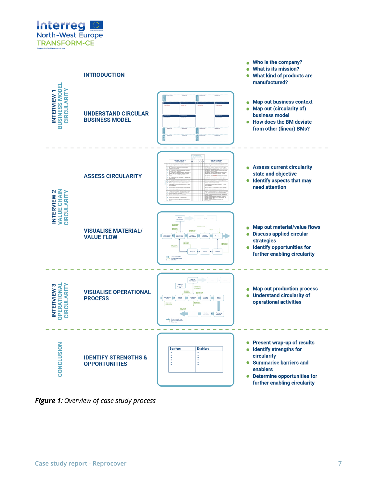



**Figure 1:** Overview of case study process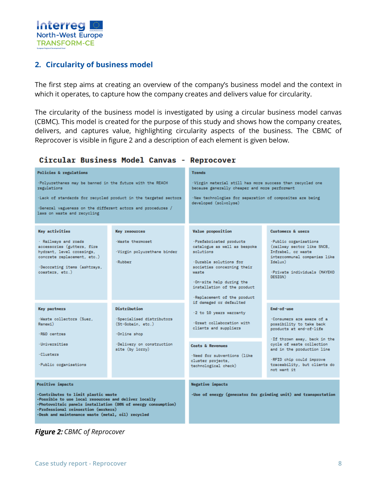

## <span id="page-7-0"></span>**2. Circularity of business model**

The first step aims at creating an overview of the company's business model and the context in which it operates, to capture how the company creates and delivers value for circularity.

The circularity of the business model is investigated by using a circular business model canvas (CBMC). This model is created for the purpose of this study and shows how the company creates, delivers, and captures value, highlighting circularity aspects of the business. The CBMC of Reprocover is visible in figure 2 and a description of each element is given below.

#### Circular Business Model Canvas - Reprocover

| Policies & regulations                                                                                                                                                                                                                                   |                                                                  | <b>Trends</b>                                                                                                                                                                                                                                            |                                                                                                                                                                        |  |
|----------------------------------------------------------------------------------------------------------------------------------------------------------------------------------------------------------------------------------------------------------|------------------------------------------------------------------|----------------------------------------------------------------------------------------------------------------------------------------------------------------------------------------------------------------------------------------------------------|------------------------------------------------------------------------------------------------------------------------------------------------------------------------|--|
| ·Polyurethanes may be banned in the future with the REACH<br>regulations                                                                                                                                                                                 |                                                                  | ·Virgin material still has more success than recycled one<br>because generally cheaper and more performant                                                                                                                                               |                                                                                                                                                                        |  |
|                                                                                                                                                                                                                                                          | · Lack of standards for recycled product in the targeted sectors | ·New technologies for separation of composites are being                                                                                                                                                                                                 |                                                                                                                                                                        |  |
| ·General vagueness on the different actors and procedures /<br>laws on waste and recycling                                                                                                                                                               |                                                                  | developed (solvolyse)                                                                                                                                                                                                                                    |                                                                                                                                                                        |  |
| <b>Key activities</b>                                                                                                                                                                                                                                    | <b>Key resources</b>                                             | <b>Value</b> proposition                                                                                                                                                                                                                                 | <b>Customers &amp; users</b>                                                                                                                                           |  |
| · Railways and roads<br>accessories (gutters, fire<br>hydrant, level crossings,<br>concrete replacement, etc.)<br>·Decorating items (ashtrays,<br>coasters, etc.)                                                                                        | ·Waste thermoset<br>·Virgin polyurethane binder<br>-Rubber       | ·Prefabricated products<br>catalogue as well as bespoke<br>solutions<br>Durable solutions for<br>societies concerning their<br>waste<br>.On-site help during the<br>installation of the product<br>Replacement of the product<br>if damaged or defaulted | · Public organisations<br>(railway sector like SNCB,<br>Infrabel, or waste<br>intercommunal companies like<br>$Id$ elux $)$<br>·Private individuals (MAYEKO<br>DESTGN) |  |
| <b>Key partners</b>                                                                                                                                                                                                                                      | Distribution                                                     | $\cdot$ 2 to 10 years warranty                                                                                                                                                                                                                           | End-of-use                                                                                                                                                             |  |
| -Waste collectors (Suez.<br>Renewi)<br>-R&D centres                                                                                                                                                                                                      | Specialised distributors<br>(St-Gobain, etc.)<br>-Online shop    | Great collaboration with<br>clients and suppliers                                                                                                                                                                                                        | .Consumers are aware of a<br>possibility to take back<br>products at end-of-life                                                                                       |  |
| ·Universities<br><b>Clusters</b><br>-Public organisations                                                                                                                                                                                                | -Delivery on construction<br>site (by lorry)                     | Costs & Revenues<br>·Need for subventions (like<br>cluster projects,<br>technological check)                                                                                                                                                             | ·If thrown away, back in the<br>cycle of waste collection<br>and in the production line<br>-RFID chip could improve<br>traceability, but clients do<br>not want it     |  |
| <b>Positive impacts</b>                                                                                                                                                                                                                                  |                                                                  | <b>Negative impacts</b>                                                                                                                                                                                                                                  |                                                                                                                                                                        |  |
| .Contributes to limit plastic waste<br>·Possible to use local resources and deliver locally<br>.Photovoltaic panels installation (80% of energy consumption)<br>·Professional reinsertion (workers)<br>.Desk and maintenance waste (metal, oil) recycled |                                                                  | . Use of energy (generator for grinding unit) and transportation                                                                                                                                                                                         |                                                                                                                                                                        |  |

**Figure 2: CBMC of Reprocover**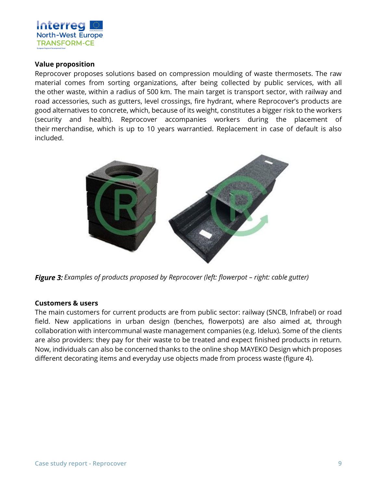

#### **Value proposition**

Reprocover proposes solutions based on compression moulding of waste thermosets. The raw material comes from sorting organizations, after being collected by public services, with all the other waste, within a radius of 500 km. The main target is transport sector, with railway and road accessories, such as gutters, level crossings, fire hydrant, where Reprocover's products are good alternatives to concrete, which, because of its weight, constitutes a bigger risk to the workers (security and health). Reprocover accompanies workers during the placement of their merchandise, which is up to 10 years warrantied. Replacement in case of default is also included.



*Figure 3: Examples of products proposed by Reprocover (left: flowerpot – right: cable gutter)* 

#### **Customers & users**

The main customers for current products are from public sector: railway (SNCB, Infrabel) or road field. New applications in urban design (benches, flowerpots) are also aimed at, through collaboration with intercommunal waste management companies (e.g. Idelux). Some of the clients are also providers: they pay for their waste to be treated and expect finished products in return. Now, individuals can also be concerned thanks to the online shop MAYEKO Design which proposes different decorating items and everyday use objects made from process waste (figure 4).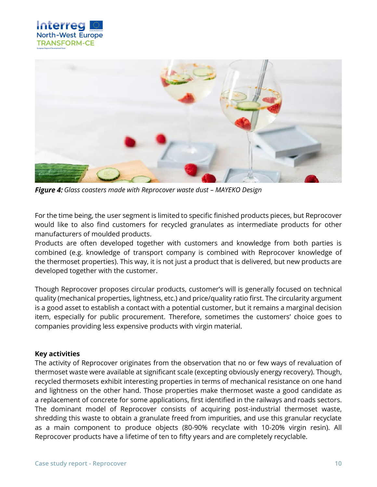



*Glass coasters made with Reprocover waste dust – MAYEKO Design*

For the time being, the user segment is limited to specific finished products pieces, but Reprocover would like to also find customers for recycled granulates as intermediate products for other manufacturers of moulded products.

Products are often developed together with customers and knowledge from both parties is combined (e.g. knowledge of transport company is combined with Reprocover knowledge of the thermoset properties). This way, it is not just a product that is delivered, but new products are developed together with the customer.

Though Reprocover proposes circular products, customer's will is generally focused on technical quality (mechanical properties, lightness, etc.) and price/quality ratio first. The circularity argument is a good asset to establish a contact with a potential customer, but it remains a marginal decision item, especially for public procurement. Therefore, sometimes the customers' choice goes to companies providing less expensive products with virgin material.

#### **Key activities**

The activity of Reprocover originates from the observation that no or few ways of revaluation of thermoset waste were available at significant scale (excepting obviously energy recovery). Though, recycled thermosets exhibit interesting properties in terms of mechanical resistance on one hand and lightness on the other hand. Those properties make thermoset waste a good candidate as a replacement of concrete for some applications, first identified in the railways and roads sectors. The dominant model of Reprocover consists of acquiring post-industrial thermoset waste, shredding this waste to obtain a granulate freed from impurities, and use this granular recyclate as a main component to produce objects (80-90% recyclate with 10-20% virgin resin). All Reprocover products have a lifetime of ten to fifty years and are completely recyclable.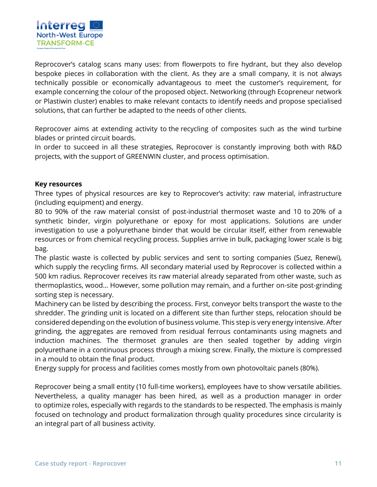

Reprocover's catalog scans many uses: from flowerpots to fire hydrant, but they also develop bespoke pieces in collaboration with the client. As they are a small company, it is not always technically possible or economically advantageous to meet the customer's requirement, for example concerning the colour of the proposed object. Networking (through Ecopreneur network or Plastiwin cluster) enables to make relevant contacts to identify needs and propose specialised solutions, that can further be adapted to the needs of other clients.

Reprocover aims at extending activity to the recycling of composites such as the wind turbine blades or printed circuit boards.

In order to succeed in all these strategies, Reprocover is constantly improving both with R&D projects, with the support of GREENWIN cluster, and process optimisation.

#### **Key resources**

Three types of physical resources are key to Reprocover's activity: raw material, infrastructure (including equipment) and energy.

80 to 90% of the raw material consist of post-industrial thermoset waste and 10 to 20% of a synthetic binder, virgin polyurethane or epoxy for most applications. Solutions are under investigation to use a polyurethane binder that would be circular itself, either from renewable resources or from chemical recycling process. Supplies arrive in bulk, packaging lower scale is big bag.

The plastic waste is collected by public services and sent to sorting companies (Suez, Renewi), which supply the recycling firms. All secondary material used by Reprocover is collected within a 500 km radius. Reprocover receives its raw material already separated from other waste, such as thermoplastics, wood… However, some pollution may remain, and a further on-site post-grinding sorting step is necessary.

Machinery can be listed by describing the process. First, conveyor belts transport the waste to the shredder. The grinding unit is located on a different site than further steps, relocation should be considered depending on the evolution of business volume. This step is very energy intensive. After grinding, the aggregates are removed from residual ferrous contaminants using magnets and induction machines. The thermoset granules are then sealed together by adding virgin polyurethane in a continuous process through a mixing screw. Finally, the mixture is compressed in a mould to obtain the final product.

Energy supply for process and facilities comes mostly from own photovoltaic panels (80%).

Reprocover being a small entity (10 full-time workers), employees have to show versatile abilities. Nevertheless, a quality manager has been hired, as well as a production manager in order to optimize roles, especially with regards to the standards to be respected. The emphasis is mainly focused on technology and product formalization through quality procedures since circularity is an integral part of all business activity.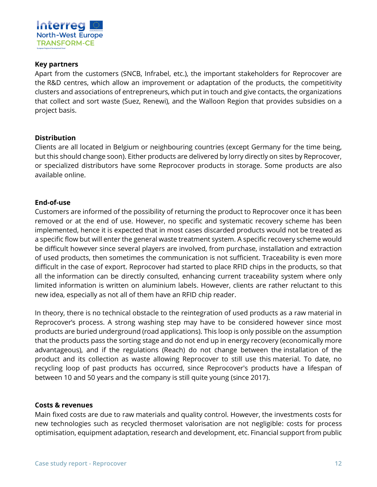

#### **Key partners**

Apart from the customers (SNCB, Infrabel, etc.), the important stakeholders for Reprocover are the R&D centres, which allow an improvement or adaptation of the products, the competitivity clusters and associations of entrepreneurs, which put in touch and give contacts, the organizations that collect and sort waste (Suez, Renewi), and the Walloon Region that provides subsidies on a project basis.

#### **Distribution**

Clients are all located in Belgium or neighbouring countries (except Germany for the time being, but this should change soon). Either products are delivered by lorry directly on sites by Reprocover, or specialized distributors have some Reprocover products in storage. Some products are also available online.

#### **End-of-use**

Customers are informed of the possibility of returning the product to Reprocover once it has been removed or at the end of use. However, no specific and systematic recovery scheme has been implemented, hence it is expected that in most cases discarded products would not be treated as a specific flow but will enter the general waste treatment system. A specific recovery scheme would be difficult however since several players are involved, from purchase, installation and extraction of used products, then sometimes the communication is not sufficient. Traceability is even more difficult in the case of export. Reprocover had started to place RFID chips in the products, so that all the information can be directly consulted, enhancing current traceability system where only limited information is written on aluminium labels. However, clients are rather reluctant to this new idea, especially as not all of them have an RFID chip reader.

In theory, there is no technical obstacle to the reintegration of used products as a raw material in Reprocover's process. A strong washing step may have to be considered however since most products are buried underground (road applications). This loop is only possible on the assumption that the products pass the sorting stage and do not end up in energy recovery (economically more advantageous), and if the regulations (Reach) do not change between the installation of the product and its collection as waste allowing Reprocover to still use this material. To date, no recycling loop of past products has occurred, since Reprocover's products have a lifespan of between 10 and 50 years and the company is still quite young (since 2017).

#### **Costs & revenues**

Main fixed costs are due to raw materials and quality control. However, the investments costs for new technologies such as recycled thermoset valorisation are not negligible: costs for process optimisation, equipment adaptation, research and development, etc. Financial support from public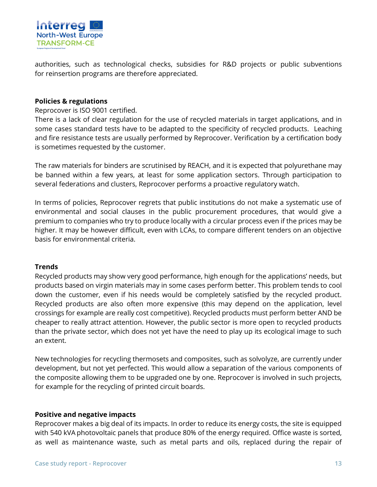

authorities, such as technological checks, subsidies for R&D projects or public subventions for reinsertion programs are therefore appreciated.

#### **Policies & regulations**

Reprocover is ISO 9001 certified.

There is a lack of clear regulation for the use of recycled materials in target applications, and in some cases standard tests have to be adapted to the specificity of recycled products. Leaching and fire resistance tests are usually performed by Reprocover. Verification by a certification body is sometimes requested by the customer.

The raw materials for binders are scrutinised by REACH, and it is expected that polyurethane may be banned within a few years, at least for some application sectors. Through participation to several federations and clusters, Reprocover performs a proactive regulatory watch.

In terms of policies, Reprocover regrets that public institutions do not make a systematic use of environmental and social clauses in the public procurement procedures, that would give a premium to companies who try to produce locally with a circular process even if the prices may be higher. It may be however difficult, even with LCAs, to compare different tenders on an objective basis for environmental criteria.

#### **Trends**

Recycled products may show very good performance, high enough for the applications' needs, but products based on virgin materials may in some cases perform better. This problem tends to cool down the customer, even if his needs would be completely satisfied by the recycled product. Recycled products are also often more expensive (this may depend on the application, level crossings for example are really cost competitive). Recycled products must perform better AND be cheaper to really attract attention. However, the public sector is more open to recycled products than the private sector, which does not yet have the need to play up its ecological image to such an extent.

New technologies for recycling thermosets and composites, such as solvolyze, are currently under development, but not yet perfected. This would allow a separation of the various components of the composite allowing them to be upgraded one by one. Reprocover is involved in such projects, for example for the recycling of printed circuit boards.

#### **Positive and negative impacts**

Reprocover makes a big deal of its impacts. In order to reduce its energy costs, the site is equipped with 540 kVA photovoltaic panels that produce 80% of the energy required. Office waste is sorted, as well as maintenance waste, such as metal parts and oils, replaced during the repair of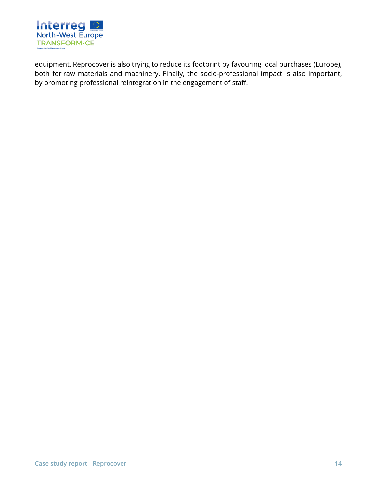

equipment. Reprocover is also trying to reduce its footprint by favouring local purchases (Europe), both for raw materials and machinery. Finally, the socio-professional impact is also important, by promoting professional reintegration in the engagement of staff.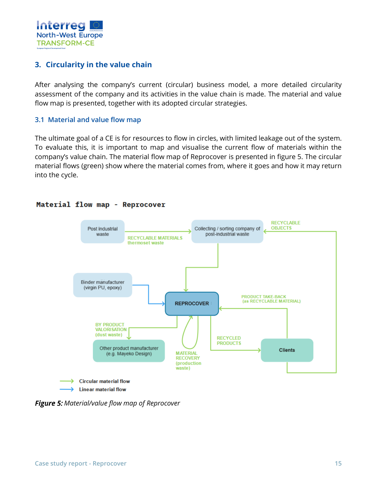

## <span id="page-14-0"></span>**3. Circularity in the value chain**

After analysing the company's current (circular) business model, a more detailed circularity assessment of the company and its activities in the value chain is made. The material and value flow map is presented, together with its adopted circular strategies.

#### <span id="page-14-1"></span>**3.1 Material and value flow map**

The ultimate goal of a CE is for resources to flow in circles, with limited leakage out of the system. To evaluate this, it is important to map and visualise the current flow of materials within the company's value chain. The material flow map of Reprocover is presented in figure 5. The circular material flows (green) show where the material comes from, where it goes and how it may return into the cycle.



#### Material flow map - Reprocover

**Figure 5:** Material/value flow map of Reprocover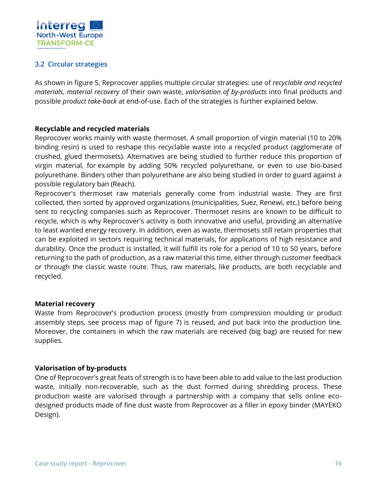

## <span id="page-15-0"></span>**3.2 Circular strategies**

As shown in figure 5, Reprocover applies multiple circular strategies: use of *recyclable and recycled materials*, *material recovery* of their own waste, *valorisation of by-products* into final products and possible *product take-back* at end-of-use. Each of the strategies is further explained below.

#### **Recyclable and recycled materials**

Reprocover works mainly with waste thermoset. A small proportion of virgin material (10 to 20% binding resin) is used to reshape this recyclable waste into a recycled product (agglomerate of crushed, glued thermosets). Alternatives are being studied to further reduce this proportion of virgin material, for example by adding 50% recycled polyurethane, or even to use bio-based polyurethane. Binders other than polyurethane are also being studied in order to guard against a possible regulatory ban (Reach).

Reprocover's thermoset raw materials generally come from industrial waste. They are first collected, then sorted by approved organizations (municipalities, Suez, Renewi, etc.) before being sent to recycling companies such as Reprocover. Thermoset resins are known to be difficult to recycle, which is why Reprocover's activity is both innovative and useful, providing an alternative to least wanted energy recovery. In addition, even as waste, thermosets still retain properties that can be exploited in sectors requiring technical materials, for applications of high resistance and durability. Once the product is installed, it will fulfill its role for a period of 10 to 50 years, before returning to the path of production, as a raw material this time, either through customer feedback or through the classic waste route. Thus, raw materials, like products, are both recyclable and recycled.

#### **Material recovery**

Waste from Reprocover's production process (mostly from compression moulding or product assembly steps, see process map of figure 7) is reused, and put back into the production line. Moreover, the containers in which the raw materials are received (big bag) are reused for new supplies.

#### **Valorisation of by-products**

One of Reprocover's great feats of strength is to have been able to add value to the last production waste, initially non-recoverable, such as the dust formed during shredding process. These production waste are valorised through a partnership with a company that sells online ecodesigned products made of fine dust waste from Reprocover as a filler in epoxy binder (MAYEKO Design).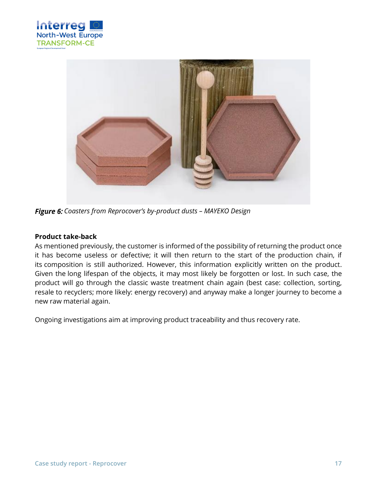



*Coasters from Reprocover's by-product dusts – MAYEKO Design*

#### **Product take-back**

As mentioned previously, the customer is informed of the possibility of returning the product once it has become useless or defective; it will then return to the start of the production chain, if its composition is still authorized. However, this information explicitly written on the product. Given the long lifespan of the objects, it may most likely be forgotten or lost. In such case, the product will go through the classic waste treatment chain again (best case: collection, sorting, resale to recyclers; more likely: energy recovery) and anyway make a longer journey to become a new raw material again.

Ongoing investigations aim at improving product traceability and thus recovery rate.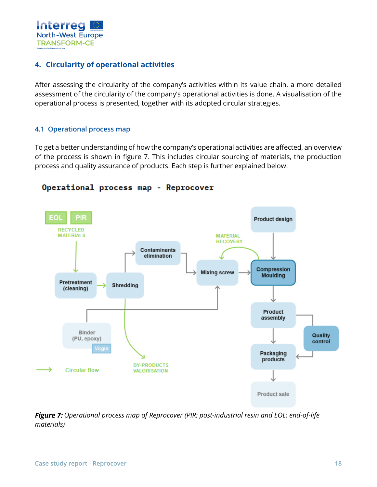

## <span id="page-17-0"></span>**4. Circularity of operational activities**

After assessing the circularity of the company's activities within its value chain, a more detailed assessment of the circularity of the company's operational activities is done. A visualisation of the operational process is presented, together with its adopted circular strategies.

#### <span id="page-17-1"></span>**4.1 Operational process map**

To get a better understanding of how the company's operational activities are affected, an overview of the process is shown in figure 7. This includes circular sourcing of materials, the production process and quality assurance of products. Each step is further explained below.



#### Operational process map - Reprocover

**Figure 7:** Operational process map of Reprocover (PIR: post-industrial resin and EOL: end-of-life *materials)*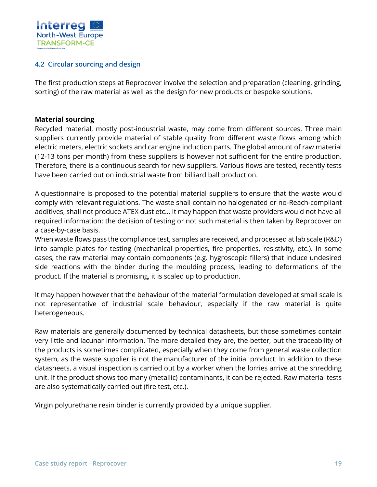

## <span id="page-18-0"></span>**4.2 Circular sourcing and design**

The first production steps at Reprocover involve the selection and preparation (cleaning, grinding, sorting) of the raw material as well as the design for new products or bespoke solutions.

#### **Material sourcing**

Recycled material, mostly post-industrial waste, may come from different sources. Three main suppliers currently provide material of stable quality from different waste flows among which electric meters, electric sockets and car engine induction parts. The global amount of raw material (12-13 tons per month) from these suppliers is however not sufficient for the entire production. Therefore, there is a continuous search for new suppliers. Various flows are tested, recently tests have been carried out on industrial waste from billiard ball production.

A questionnaire is proposed to the potential material suppliers to ensure that the waste would comply with relevant regulations. The waste shall contain no halogenated or no-Reach-compliant additives, shall not produce ATEX dust etc… It may happen that waste providers would not have all required information; the decision of testing or not such material is then taken by Reprocover on a case-by-case basis.

When waste flows pass the compliance test, samples are received, and processed at lab scale (R&D) into sample plates for testing (mechanical properties, fire properties, resistivity, etc.). In some cases, the raw material may contain components (e.g. hygroscopic fillers) that induce undesired side reactions with the binder during the moulding process, leading to deformations of the product. If the material is promising, it is scaled up to production.

It may happen however that the behaviour of the material formulation developed at small scale is not representative of industrial scale behaviour, especially if the raw material is quite heterogeneous.

Raw materials are generally documented by technical datasheets, but those sometimes contain very little and lacunar information. The more detailed they are, the better, but the traceability of the products is sometimes complicated, especially when they come from general waste collection system, as the waste supplier is not the manufacturer of the initial product. In addition to these datasheets, a visual inspection is carried out by a worker when the lorries arrive at the shredding unit. If the product shows too many (metallic) contaminants, it can be rejected. Raw material tests are also systematically carried out (fire test, etc.).

Virgin polyurethane resin binder is currently provided by a unique supplier.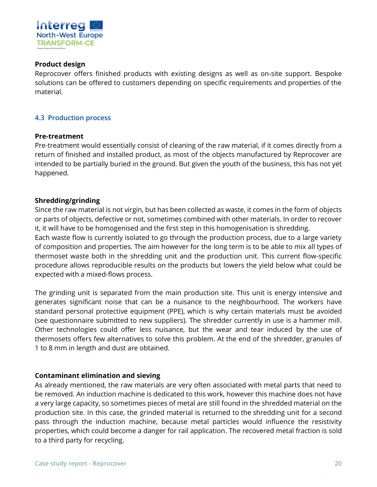

#### **Product design**

Reprocover offers finished products with existing designs as well as on-site support. Bespoke solutions can be offered to customers depending on specific requirements and properties of the material.

#### <span id="page-19-0"></span>**4.3 Production process**

#### **Pre-treatment**

Pre-treatment would essentially consist of cleaning of the raw material, if it comes directly from a return of finished and installed product, as most of the objects manufactured by Reprocover are intended to be partially buried in the ground. But given the youth of the business, this has not yet happened.

#### **Shredding/grinding**

Since the raw material is not virgin, but has been collected as waste, it comes in the form of objects or parts of objects, defective or not, sometimes combined with other materials. In order to recover it, it will have to be homogenised and the first step in this homogenisation is shredding. Each waste flow is currently isolated to go through the production process, due to a large variety of composition and properties. The aim however for the long term is to be able to mix all types of thermoset waste both in the shredding unit and the production unit. This current flow-specific procedure allows reproducible results on the products but lowers the yield below what could be expected with a mixed-flows process.

The grinding unit is separated from the main production site. This unit is energy intensive and generates significant noise that can be a nuisance to the neighbourhood. The workers have standard personal protective equipment (PPE), which is why certain materials must be avoided (see questionnaire submitted to new suppliers). The shredder currently in use is a hammer mill. Other technologies could offer less nuisance, but the wear and tear induced by the use of thermosets offers few alternatives to solve this problem. At the end of the shredder, granules of 1 to 8 mm in length and dust are obtained.

#### **Contaminant elimination and sieving**

As already mentioned, the raw materials are very often associated with metal parts that need to be removed. An induction machine is dedicated to this work, however this machine does not have a very large capacity, so sometimes pieces of metal are still found in the shredded material on the production site. In this case, the grinded material is returned to the shredding unit for a second pass through the induction machine, because metal particles would influence the resistivity properties, which could become a danger for rail application. The recovered metal fraction is sold to a third party for recycling.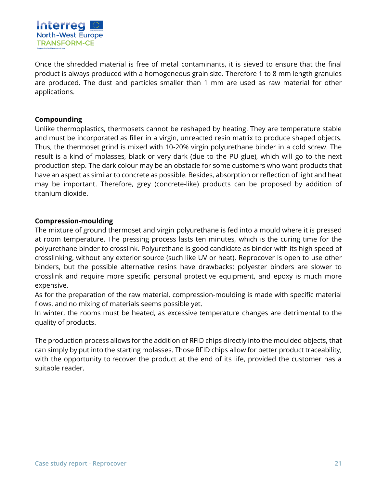

Once the shredded material is free of metal contaminants, it is sieved to ensure that the final product is always produced with a homogeneous grain size. Therefore 1 to 8 mm length granules are produced. The dust and particles smaller than 1 mm are used as raw material for other applications.

#### **Compounding**

Unlike thermoplastics, thermosets cannot be reshaped by heating. They are temperature stable and must be incorporated as filler in a virgin, unreacted resin matrix to produce shaped objects. Thus, the thermoset grind is mixed with 10-20% virgin polyurethane binder in a cold screw. The result is a kind of molasses, black or very dark (due to the PU glue), which will go to the next production step. The dark colour may be an obstacle for some customers who want products that have an aspect as similar to concrete as possible. Besides, absorption or reflection of light and heat may be important. Therefore, grey (concrete-like) products can be proposed by addition of titanium dioxide.

#### **Compression-moulding**

The mixture of ground thermoset and virgin polyurethane is fed into a mould where it is pressed at room temperature. The pressing process lasts ten minutes, which is the curing time for the polyurethane binder to crosslink. Polyurethane is good candidate as binder with its high speed of crosslinking, without any exterior source (such like UV or heat). Reprocover is open to use other binders, but the possible alternative resins have drawbacks: polyester binders are slower to crosslink and require more specific personal protective equipment, and epoxy is much more expensive.

As for the preparation of the raw material, compression-moulding is made with specific material flows, and no mixing of materials seems possible yet.

In winter, the rooms must be heated, as excessive temperature changes are detrimental to the quality of products.

The production process allows for the addition of RFID chips directly into the moulded objects, that can simply by put into the starting molasses. Those RFID chips allow for better product traceability, with the opportunity to recover the product at the end of its life, provided the customer has a suitable reader.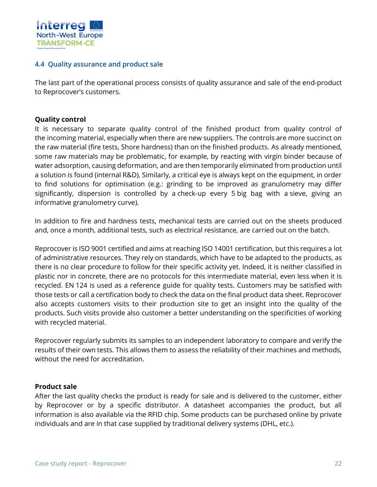

#### <span id="page-21-0"></span>**4.4 Quality assurance and product sale**

The last part of the operational process consists of quality assurance and sale of the end-product to Reprocover's customers.

#### **Quality control**

It is necessary to separate quality control of the finished product from quality control of the incoming material, especially when there are new suppliers. The controls are more succinct on the raw material (fire tests, Shore hardness) than on the finished products. As already mentioned, some raw materials may be problematic, for example, by reacting with virgin binder because of water adsorption, causing deformation, and are then temporarily eliminated from production until a solution is found (internal R&D). Similarly, a critical eye is always kept on the equipment, in order to find solutions for optimisation (e.g.: grinding to be improved as granulometry may differ significantly, dispersion is controlled by a check-up every 5 big bag with a sieve, giving an informative granulometry curve).

In addition to fire and hardness tests, mechanical tests are carried out on the sheets produced and, once a month, additional tests, such as electrical resistance, are carried out on the batch.

Reprocover is ISO 9001 certified and aims at reaching ISO 14001 certification, but this requires a lot of administrative resources. They rely on standards, which have to be adapted to the products, as there is no clear procedure to follow for their specific activity yet. Indeed, it is neither classified in plastic nor in concrete, there are no protocols for this intermediate material, even less when it is recycled. EN 124 is used as a reference guide for quality tests. Customers may be satisfied with those tests or call a certification body to check the data on the final product data sheet. Reprocover also accepts customers visits to their production site to get an insight into the quality of the products. Such visits provide also customer a better understanding on the specificities of working with recycled material.

Reprocover regularly submits its samples to an independent laboratory to compare and verify the results of their own tests. This allows them to assess the reliability of their machines and methods, without the need for accreditation.

#### **Product sale**

After the last quality checks the product is ready for sale and is delivered to the customer, either by Reprocover or by a specific distributor. A datasheet accompanies the product, but all information is also available via the RFID chip. Some products can be purchased online by private individuals and are in that case supplied by traditional delivery systems (DHL, etc.).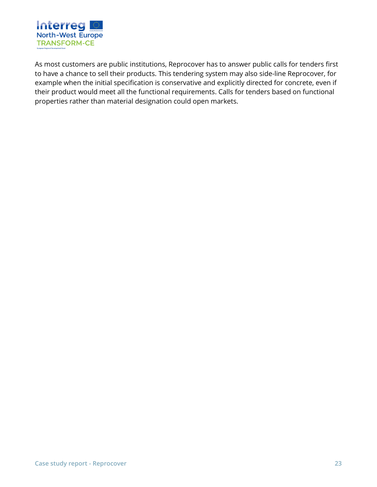

As most customers are public institutions, Reprocover has to answer public calls for tenders first to have a chance to sell their products. This tendering system may also side-line Reprocover, for example when the initial specification is conservative and explicitly directed for concrete, even if their product would meet all the functional requirements. Calls for tenders based on functional properties rather than material designation could open markets.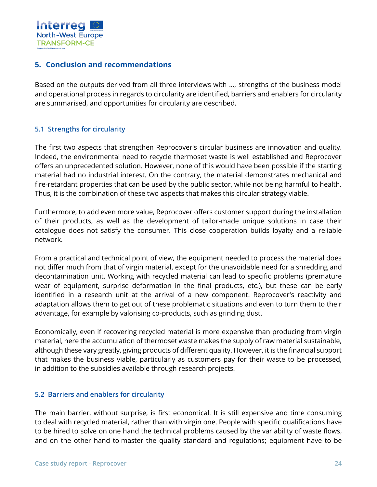

## <span id="page-23-0"></span>**5. Conclusion and recommendations**

Based on the outputs derived from all three interviews with …, strengths of the business model and operational process in regards to circularity are identified, barriers and enablers for circularity are summarised, and opportunities for circularity are described.

## <span id="page-23-1"></span>**5.1 Strengths for circularity**

The first two aspects that strengthen Reprocover's circular business are innovation and quality. Indeed, the environmental need to recycle thermoset waste is well established and Reprocover offers an unprecedented solution. However, none of this would have been possible if the starting material had no industrial interest. On the contrary, the material demonstrates mechanical and fire-retardant properties that can be used by the public sector, while not being harmful to health. Thus, it is the combination of these two aspects that makes this circular strategy viable.

Furthermore, to add even more value, Reprocover offers customer support during the installation of their products, as well as the development of tailor-made unique solutions in case their catalogue does not satisfy the consumer. This close cooperation builds loyalty and a reliable network.

From a practical and technical point of view, the equipment needed to process the material does not differ much from that of virgin material, except for the unavoidable need for a shredding and decontamination unit. Working with recycled material can lead to specific problems (premature wear of equipment, surprise deformation in the final products, etc.), but these can be early identified in a research unit at the arrival of a new component. Reprocover's reactivity and adaptation allows them to get out of these problematic situations and even to turn them to their advantage, for example by valorising co-products, such as grinding dust.

Economically, even if recovering recycled material is more expensive than producing from virgin material, here the accumulation of thermoset waste makes the supply of raw material sustainable, although these vary greatly, giving products of different quality. However, it is the financial support that makes the business viable, particularly as customers pay for their waste to be processed, in addition to the subsidies available through research projects.

#### <span id="page-23-2"></span>**5.2 Barriers and enablers for circularity**

The main barrier, without surprise, is first economical. It is still expensive and time consuming to deal with recycled material, rather than with virgin one. People with specific qualifications have to be hired to solve on one hand the technical problems caused by the variability of waste flows, and on the other hand to master the quality standard and regulations; equipment have to be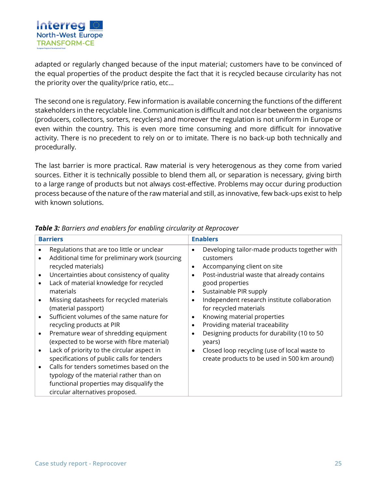

adapted or regularly changed because of the input material; customers have to be convinced of the equal properties of the product despite the fact that it is recycled because circularity has not the priority over the quality/price ratio, etc…

The second one is regulatory. Few information is available concerning the functions of the different stakeholders in the recyclable line. Communication is difficult and not clear between the organisms (producers, collectors, sorters, recyclers) and moreover the regulation is not uniform in Europe or even within the country. This is even more time consuming and more difficult for innovative activity. There is no precedent to rely on or to imitate. There is no back-up both technically and procedurally.

The last barrier is more practical. Raw material is very heterogenous as they come from varied sources. Either it is technically possible to blend them all, or separation is necessary, giving birth to a large range of products but not always cost-effective. Problems may occur during production process because of the nature of the raw material and still, as innovative, few back-ups exist to help with known solutions.

| <b>Barriers</b>                                                                                             |                                                                                                                                                                                                                                                                                                                                                                                                                                                                                                                                                                                                                                    | <b>Enablers</b>                                                                                                                                                                                                                                                                                                                                                                                                                                                                                                                                                                                                 |  |
|-------------------------------------------------------------------------------------------------------------|------------------------------------------------------------------------------------------------------------------------------------------------------------------------------------------------------------------------------------------------------------------------------------------------------------------------------------------------------------------------------------------------------------------------------------------------------------------------------------------------------------------------------------------------------------------------------------------------------------------------------------|-----------------------------------------------------------------------------------------------------------------------------------------------------------------------------------------------------------------------------------------------------------------------------------------------------------------------------------------------------------------------------------------------------------------------------------------------------------------------------------------------------------------------------------------------------------------------------------------------------------------|--|
| $\bullet$<br>recycled materials)<br>$\bullet$<br>$\bullet$<br>materials<br>(material passport)<br>$\bullet$ | Regulations that are too little or unclear<br>Additional time for preliminary work (sourcing<br>Uncertainties about consistency of quality<br>Lack of material knowledge for recycled<br>Missing datasheets for recycled materials<br>Sufficient volumes of the same nature for<br>recycling products at PIR<br>Premature wear of shredding equipment<br>(expected to be worse with fibre material)<br>Lack of priority to the circular aspect in<br>specifications of public calls for tenders<br>Calls for tenders sometimes based on the<br>typology of the material rather than on<br>functional properties may disqualify the | Developing tailor-made products together with<br>$\bullet$<br>customers<br>Accompanying client on site<br>$\bullet$<br>Post-industrial waste that already contains<br>$\bullet$<br>good properties<br>Sustainable PIR supply<br>$\bullet$<br>Independent research institute collaboration<br>$\bullet$<br>for recycled materials<br>Knowing material properties<br>$\bullet$<br>Providing material traceability<br>$\bullet$<br>Designing products for durability (10 to 50<br>$\bullet$<br>years)<br>Closed loop recycling (use of local waste to<br>$\bullet$<br>create products to be used in 500 km around) |  |
|                                                                                                             | circular alternatives proposed.                                                                                                                                                                                                                                                                                                                                                                                                                                                                                                                                                                                                    |                                                                                                                                                                                                                                                                                                                                                                                                                                                                                                                                                                                                                 |  |

#### *Table 3: Barriers and enablers for enabling circularity at Reprocover*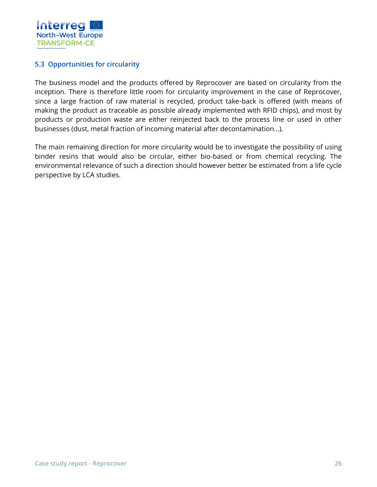

#### <span id="page-25-0"></span>**5.3 Opportunities for circularity**

The business model and the products offered by Reprocover are based on circularity from the inception. There is therefore little room for circularity improvement in the case of Reprocover, since a large fraction of raw material is recycled, product take-back is offered (with means of making the product as traceable as possible already implemented with RFID chips), and most by products or production waste are either reinjected back to the process line or used in other businesses (dust, metal fraction of incoming material after decontamination…).

The main remaining direction for more circularity would be to investigate the possibility of using binder resins that would also be circular, either bio-based or from chemical recycling. The environmental relevance of such a direction should however better be estimated from a life cycle perspective by LCA studies.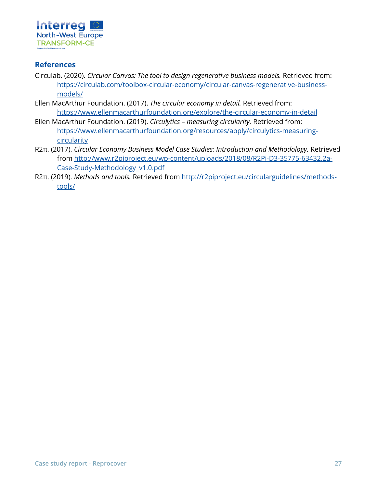

## <span id="page-26-0"></span>**References**

- Circulab. (2020). *Circular Canvas: The tool to design regenerative business models.* Retrieved from: [https://circulab.com/toolbox-circular-economy/circular-canvas-regenerative-business](https://circulab.com/toolbox-circular-economy/circular-canvas-regenerative-business-models/)[models/](https://circulab.com/toolbox-circular-economy/circular-canvas-regenerative-business-models/)
- Ellen MacArthur Foundation. (2017). *The circular economy in detail.* Retrieved from: <https://www.ellenmacarthurfoundation.org/explore/the-circular-economy-in-detail>
- Ellen MacArthur Foundation. (2019). *Circulytics – measuring circularity.* Retrieved from: [https://www.ellenmacarthurfoundation.org/resources/apply/circulytics-measuring](https://www.ellenmacarthurfoundation.org/resources/apply/circulytics-measuring-circularity)[circularity](https://www.ellenmacarthurfoundation.org/resources/apply/circulytics-measuring-circularity)
- R2π. (2017). *Circular Economy Business Model Case Studies: Introduction and Methodology.* Retrieved from [http://www.r2piproject.eu/wp-content/uploads/2018/08/R2Pi-D3-35775-63432.2a-](http://www.r2piproject.eu/wp-content/uploads/2018/08/R2Pi-D3-35775-63432.2a-Case-Study-Methodology_v1.0.pdf)[Case-Study-Methodology\\_v1.0.pdf](http://www.r2piproject.eu/wp-content/uploads/2018/08/R2Pi-D3-35775-63432.2a-Case-Study-Methodology_v1.0.pdf)
- R2π. (2019). *Methods and tools.* Retrieved from [http://r2piproject.eu/circularguidelines/methods](http://r2piproject.eu/circularguidelines/methods-tools/)[tools/](http://r2piproject.eu/circularguidelines/methods-tools/)